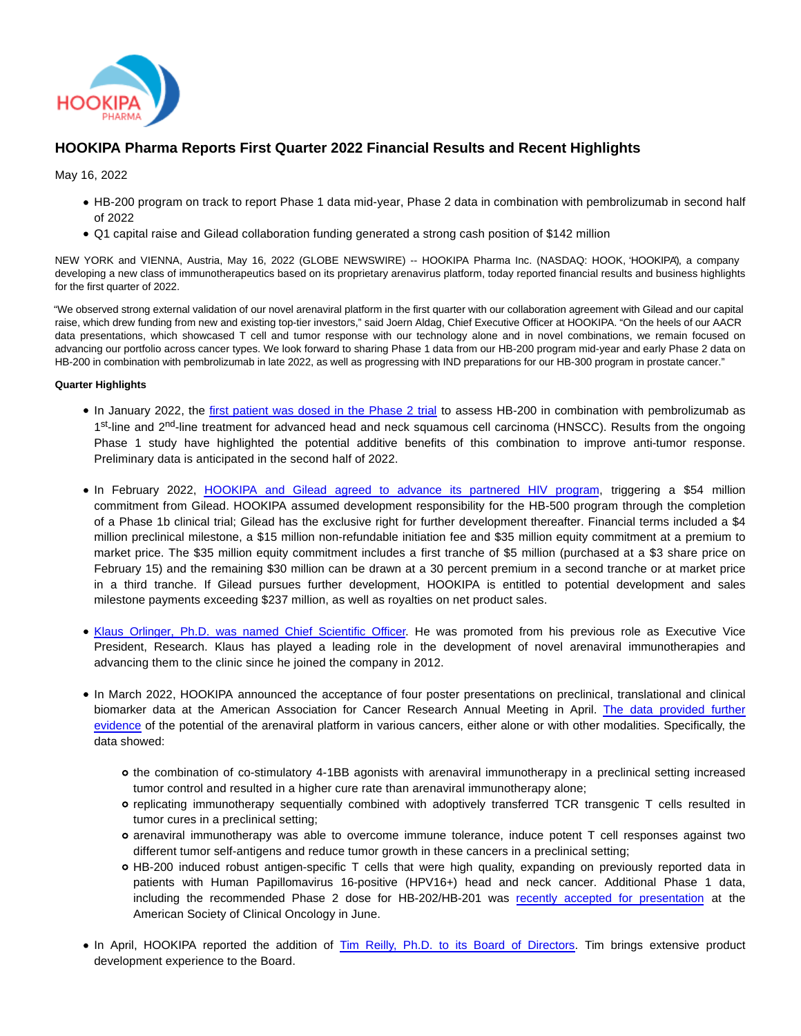

# **HOOKIPA Pharma Reports First Quarter 2022 Financial Results and Recent Highlights**

May 16, 2022

- HB-200 program on track to report Phase 1 data mid-year, Phase 2 data in combination with pembrolizumab in second half of 2022
- Q1 capital raise and Gilead collaboration funding generated a strong cash position of \$142 million

NEW YORK and VIENNA, Austria, May 16, 2022 (GLOBE NEWSWIRE) -- HOOKIPA Pharma Inc. (NASDAQ: HOOK, 'HOOKIPA'), a company developing a new class of immunotherapeutics based on its proprietary arenavirus platform, today reported financial results and business highlights for the first quarter of 2022.

"We observed strong external validation of our novel arenaviral platform in the first quarter with our collaboration agreement with Gilead and our capital raise, which drew funding from new and existing top-tier investors," said Joern Aldag, Chief Executive Officer at HOOKIPA. "On the heels of our AACR data presentations, which showcased T cell and tumor response with our technology alone and in novel combinations, we remain focused on advancing our portfolio across cancer types. We look forward to sharing Phase 1 data from our HB-200 program mid-year and early Phase 2 data on HB-200 in combination with pembrolizumab in late 2022, as well as progressing with IND preparations for our HB-300 program in prostate cancer."

#### **Quarter Highlights**

- In January 2022, the [first patient was dosed in the Phase 2 trial](https://ir.hookipapharma.com/news-releases/news-release-details/hookipa-announces-first-patient-enrolled-phase-2-trial) to assess HB-200 in combination with pembrolizumab as 1<sup>st</sup>-line and 2<sup>nd</sup>-line treatment for advanced head and neck squamous cell carcinoma (HNSCC). Results from the ongoing Phase 1 study have highlighted the potential additive benefits of this combination to improve anti-tumor response. Preliminary data is anticipated in the second half of 2022.
- In February 2022, [HOOKIPA and Gilead agreed to advance its partnered HIV program,](https://ir.hookipapharma.com/news-releases/news-release-details/hookipa-and-gilead-amend-collaboration-and-license-agreement) triggering a \$54 million commitment from Gilead. HOOKIPA assumed development responsibility for the HB-500 program through the completion of a Phase 1b clinical trial; Gilead has the exclusive right for further development thereafter. Financial terms included a \$4 million preclinical milestone, a \$15 million non-refundable initiation fee and \$35 million equity commitment at a premium to market price. The \$35 million equity commitment includes a first tranche of \$5 million (purchased at a \$3 share price on February 15) and the remaining \$30 million can be drawn at a 30 percent premium in a second tranche or at market price in a third tranche. If Gilead pursues further development, HOOKIPA is entitled to potential development and sales milestone payments exceeding \$237 million, as well as royalties on net product sales.
- [Klaus Orlinger, Ph.D. was named Chief Scientific Officer.](https://ir.hookipapharma.com/news-releases/news-release-details/hookipa-announces-promotion-klaus-orlinger-phd-chief-scientific) He was promoted from his previous role as Executive Vice President, Research. Klaus has played a leading role in the development of novel arenaviral immunotherapies and advancing them to the clinic since he joined the company in 2012.
- In March 2022, HOOKIPA announced the acceptance of four poster presentations on preclinical, translational and clinical biomarker data at the American Association for Cancer Research Annual Meeting in April. [The data provided further](https://ir.hookipapharma.com/news-releases/news-release-details/new-data-show-hookipas-arenaviral-immunotherapies-induce-potent) evidence of the potential of the arenaviral platform in various cancers, either alone or with other modalities. Specifically, the data showed:
	- o the combination of co-stimulatory 4-1BB agonists with arenaviral immunotherapy in a preclinical setting increased tumor control and resulted in a higher cure rate than arenaviral immunotherapy alone;
	- replicating immunotherapy sequentially combined with adoptively transferred TCR transgenic T cells resulted in tumor cures in a preclinical setting;
	- arenaviral immunotherapy was able to overcome immune tolerance, induce potent T cell responses against two different tumor self-antigens and reduce tumor growth in these cancers in a preclinical setting;
	- HB-200 induced robust antigen-specific T cells that were high quality, expanding on previously reported data in patients with Human Papillomavirus 16-positive (HPV16+) head and neck cancer. Additional Phase 1 data, including the recommended Phase 2 dose for HB-202/HB-201 was [recently accepted for presentation](https://meetings.asco.org/abstracts-presentations/search?query=*&q=HB-200&sortBy=Relevancy&filters=%7B%22meetingTypeName%22:%5B%7B%22key%22:%22ASCO%20Annual%20Meeting%22%7D%5D,%22meetingYear%22:%5B%7B%22key%22:2022%7D%5D,%22presentationType%22:%5B%7B%22key%22:%22Abstract%20Presentation%22%7D,%7B%22key%22:%22Poster%22%7D,%7B%22key%22:%22Abstract%22%7D%5D%7D&size=50&intcmp=js_ascoorg_am_abstracts_site_meeting-carousel_042722__am-web-visitors__view-titles_aware_image-text_) at the American Society of Clinical Oncology in June.
- In April, HOOKIPA reported the addition of [Tim Reilly, Ph.D. to its Board of Directors.](https://ir.hookipapharma.com/news-releases/news-release-details/hookipa-pharma-appoints-tim-reilly-phd-its-board-directors) Tim brings extensive product development experience to the Board.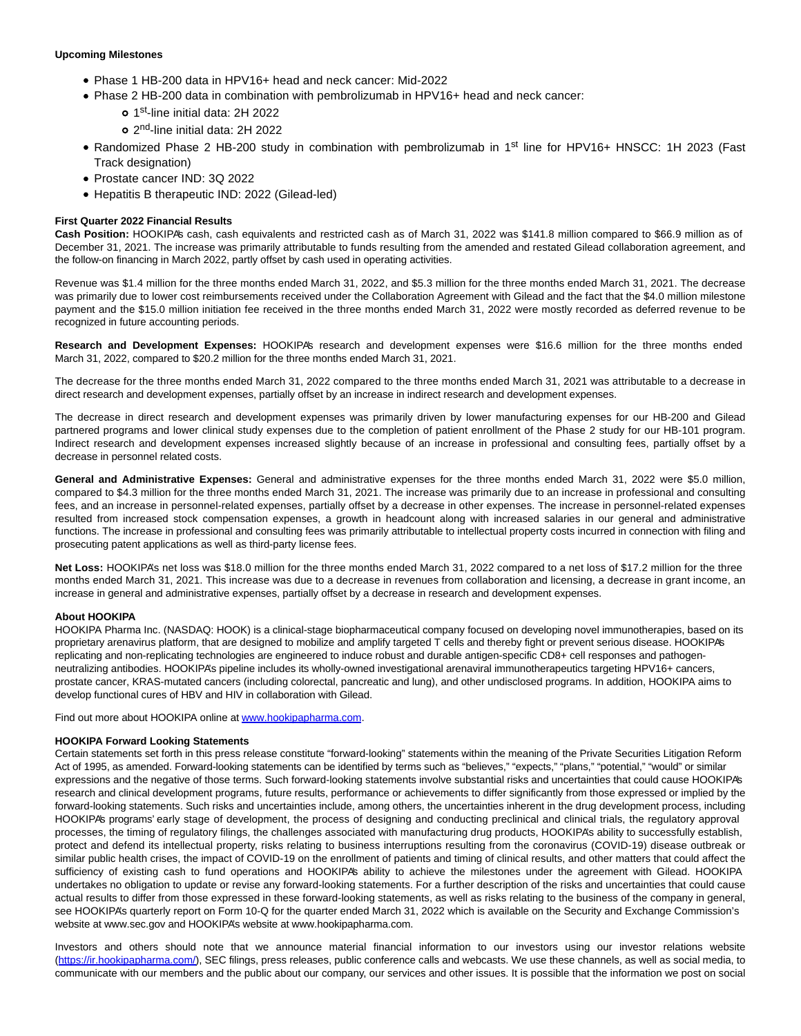#### **Upcoming Milestones**

- Phase 1 HB-200 data in HPV16+ head and neck cancer: Mid-2022
- Phase 2 HB-200 data in combination with pembrolizumab in HPV16+ head and neck cancer:
	- 1<sup>st</sup>-line initial data: 2H 2022
	- 2 nd-line initial data: 2H 2022
- Randomized Phase 2 HB-200 study in combination with pembrolizumab in 1<sup>st</sup> line for HPV16+ HNSCC: 1H 2023 (Fast Track designation)
- Prostate cancer IND: 3Q 2022
- Hepatitis B therapeutic IND: 2022 (Gilead-led)

#### **First Quarter 2022 Financial Results**

Cash Position: HOOKIPA's cash, cash equivalents and restricted cash as of March 31, 2022 was \$141.8 million compared to \$66.9 million as of December 31, 2021. The increase was primarily attributable to funds resulting from the amended and restated Gilead collaboration agreement, and the follow-on financing in March 2022, partly offset by cash used in operating activities.

Revenue was \$1.4 million for the three months ended March 31, 2022, and \$5.3 million for the three months ended March 31, 2021. The decrease was primarily due to lower cost reimbursements received under the Collaboration Agreement with Gilead and the fact that the \$4.0 million milestone payment and the \$15.0 million initiation fee received in the three months ended March 31, 2022 were mostly recorded as deferred revenue to be recognized in future accounting periods.

**Research and Development Expenses:** HOOKIPA's research and development expenses were \$16.6 million for the three months ended March 31, 2022, compared to \$20.2 million for the three months ended March 31, 2021.

The decrease for the three months ended March 31, 2022 compared to the three months ended March 31, 2021 was attributable to a decrease in direct research and development expenses, partially offset by an increase in indirect research and development expenses.

The decrease in direct research and development expenses was primarily driven by lower manufacturing expenses for our HB-200 and Gilead partnered programs and lower clinical study expenses due to the completion of patient enrollment of the Phase 2 study for our HB-101 program. Indirect research and development expenses increased slightly because of an increase in professional and consulting fees, partially offset by a decrease in personnel related costs.

**General and Administrative Expenses:** General and administrative expenses for the three months ended March 31, 2022 were \$5.0 million, compared to \$4.3 million for the three months ended March 31, 2021. The increase was primarily due to an increase in professional and consulting fees, and an increase in personnel-related expenses, partially offset by a decrease in other expenses. The increase in personnel-related expenses resulted from increased stock compensation expenses, a growth in headcount along with increased salaries in our general and administrative functions. The increase in professional and consulting fees was primarily attributable to intellectual property costs incurred in connection with filing and prosecuting patent applications as well as third-party license fees.

Net Loss: HOOKIPA's net loss was \$18.0 million for the three months ended March 31, 2022 compared to a net loss of \$17.2 million for the three months ended March 31, 2021. This increase was due to a decrease in revenues from collaboration and licensing, a decrease in grant income, an increase in general and administrative expenses, partially offset by a decrease in research and development expenses.

#### **About HOOKIPA**

HOOKIPA Pharma Inc. (NASDAQ: HOOK) is a clinical-stage biopharmaceutical company focused on developing novel immunotherapies, based on its proprietary arenavirus platform, that are designed to mobilize and amplify targeted T cells and thereby fight or prevent serious disease. HOOKIPA's replicating and non-replicating technologies are engineered to induce robust and durable antigen-specific CD8+ cell responses and pathogenneutralizing antibodies. HOOKIPA's pipeline includes its wholly-owned investigational arenaviral immunotherapeutics targeting HPV16+ cancers, prostate cancer, KRAS-mutated cancers (including colorectal, pancreatic and lung), and other undisclosed programs. In addition, HOOKIPA aims to develop functional cures of HBV and HIV in collaboration with Gilead.

Find out more about HOOKIPA online at [www.hookipapharma.com.](https://www.globenewswire.com/Tracker?data=WeGB-O3IFWGi1iEmMeHtHL1LVYbPBEPr2LSnkHeYlSg-oBhhm_hyQxgEzqcS5qVZ88naATXOiTIFGZds8-ciKXFH0IhT7xq0aUfC9MUJLeg=)

#### **HOOKIPA Forward Looking Statements**

Certain statements set forth in this press release constitute "forward-looking" statements within the meaning of the Private Securities Litigation Reform Act of 1995, as amended. Forward-looking statements can be identified by terms such as "believes," "expects," "plans," "potential," "would" or similar expressions and the negative of those terms. Such forward-looking statements involve substantial risks and uncertainties that could cause HOOKIPA's research and clinical development programs, future results, performance or achievements to differ significantly from those expressed or implied by the forward-looking statements. Such risks and uncertainties include, among others, the uncertainties inherent in the drug development process, including HOOKIPA's programs' early stage of development, the process of designing and conducting preclinical and clinical trials, the regulatory approval processes, the timing of regulatory filings, the challenges associated with manufacturing drug products, HOOKIPA's ability to successfully establish, protect and defend its intellectual property, risks relating to business interruptions resulting from the coronavirus (COVID-19) disease outbreak or similar public health crises, the impact of COVID-19 on the enrollment of patients and timing of clinical results, and other matters that could affect the sufficiency of existing cash to fund operations and HOOKIPA's ability to achieve the milestones under the agreement with Gilead. HOOKIPA undertakes no obligation to update or revise any forward-looking statements. For a further description of the risks and uncertainties that could cause actual results to differ from those expressed in these forward-looking statements, as well as risks relating to the business of the company in general, see HOOKIPA's quarterly report on Form 10-Q for the quarter ended March 31, 2022 which is available on the Security and Exchange Commission's website at www.sec.gov and HOOKIPA's website at www.hookipapharma.com.

Investors and others should note that we announce material financial information to our investors using our investor relations website [\(https://ir.hookipapharma.com/\),](https://www.globenewswire.com/Tracker?data=g_nawTRGjtD4ufG14lOlD3Di8PJu9Uv54abYl1QBuOGN8vzTuLIAkfqeoPKd2IaD-hk0QHKq74lBXxOOR2hpRxBE0iACXu8u7hqqsth9ZBE00kLZx7TeK6T0OU-LL_fE) SEC filings, press releases, public conference calls and webcasts. We use these channels, as well as social media, to communicate with our members and the public about our company, our services and other issues. It is possible that the information we post on social